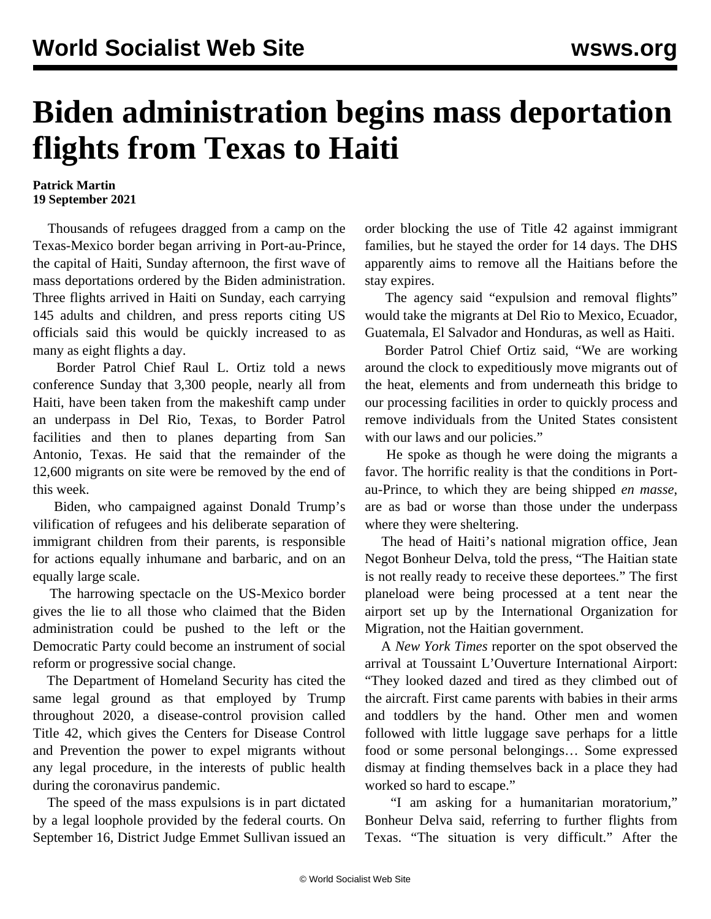## **Biden administration begins mass deportation flights from Texas to Haiti**

## **Patrick Martin 19 September 2021**

 Thousands of refugees dragged from a camp on the Texas-Mexico border began arriving in Port-au-Prince, the capital of Haiti, Sunday afternoon, the first wave of mass deportations ordered by the Biden administration. Three flights arrived in Haiti on Sunday, each carrying 145 adults and children, and press reports citing US officials said this would be quickly increased to as many as eight flights a day.

 Border Patrol Chief Raul L. Ortiz told a news conference Sunday that 3,300 people, nearly all from Haiti, have been taken from the makeshift camp under an underpass in Del Rio, Texas, to Border Patrol facilities and then to planes departing from San Antonio, Texas. He said that the remainder of the 12,600 migrants on site were be removed by the end of this week.

 Biden, who campaigned against Donald Trump's vilification of refugees and his deliberate separation of immigrant children from their parents, is responsible for actions equally inhumane and barbaric, and on an equally large scale.

 The harrowing spectacle on the US-Mexico border gives the lie to all those who claimed that the Biden administration could be pushed to the left or the Democratic Party could become an instrument of social reform or progressive social change.

 The Department of Homeland Security has cited the same legal ground as that employed by Trump throughout 2020, a disease-control provision called Title 42, which gives the Centers for Disease Control and Prevention the power to expel migrants without any legal procedure, in the interests of public health during the coronavirus pandemic.

 The speed of the mass expulsions is in part dictated by a legal loophole provided by the federal courts. On September 16, District Judge Emmet Sullivan issued an order blocking the use of Title 42 against immigrant families, but he stayed the order for 14 days. The DHS apparently aims to remove all the Haitians before the stay expires.

The agency said "expulsion and removal flights" would take the migrants at Del Rio to Mexico, Ecuador, Guatemala, El Salvador and Honduras, as well as Haiti.

 Border Patrol Chief Ortiz said, "We are working around the clock to expeditiously move migrants out of the heat, elements and from underneath this bridge to our processing facilities in order to quickly process and remove individuals from the United States consistent with our laws and our policies."

 He spoke as though he were doing the migrants a favor. The horrific reality is that the conditions in Portau-Prince, to which they are being shipped *en masse*, are as bad or worse than those under the underpass where they were sheltering.

 The head of Haiti's national migration office, Jean Negot Bonheur Delva, told the press, "The Haitian state is not really ready to receive these deportees." The first planeload were being processed at a tent near the airport set up by the International Organization for Migration, not the Haitian government.

 A *New York Times* reporter on the spot observed the arrival at Toussaint L'Ouverture International Airport: "They looked dazed and tired as they climbed out of the aircraft. First came parents with babies in their arms and toddlers by the hand. Other men and women followed with little luggage save perhaps for a little food or some personal belongings… Some expressed dismay at finding themselves back in a place they had worked so hard to escape."

 "I am asking for a humanitarian moratorium," Bonheur Delva said, referring to further flights from Texas. "The situation is very difficult." After the